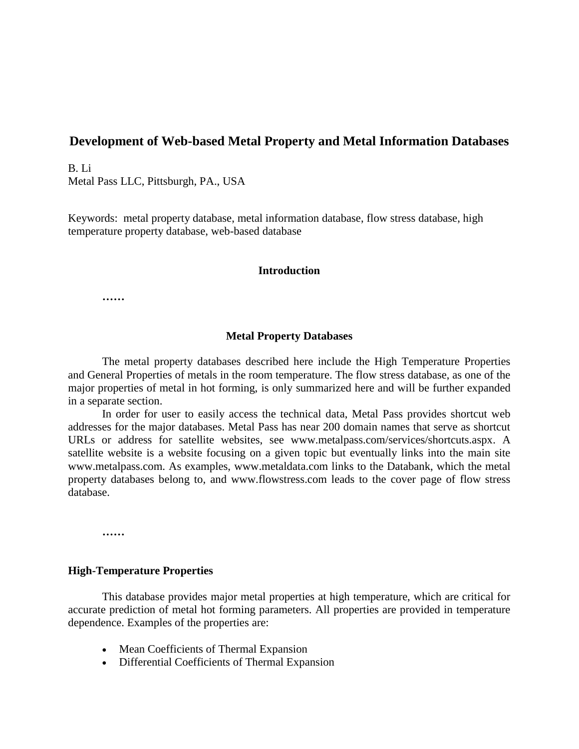# **Development of Web-based Metal Property and Metal Information Databases**

B. Li Metal Pass LLC, Pittsburgh, PA., USA

Keywords: metal property database, metal information database, flow stress database, high temperature property database, web-based database

#### **Introduction**

**……**

### **Metal Property Databases**

The metal property databases described here include the High Temperature Properties and General Properties of metals in the room temperature. The flow stress database, as one of the major properties of metal in hot forming, is only summarized here and will be further expanded in a separate section.

In order for user to easily access the technical data, Metal Pass provides shortcut web addresses for the major databases. Metal Pass has near 200 domain names that serve as shortcut URLs or address for satellite websites, see www.metalpass.com/services/shortcuts.aspx. A satellite website is a website focusing on a given topic but eventually links into the main site www.metalpass.com. As examples, www.metaldata.com links to the Databank, which the metal property databases belong to, and www.flowstress.com leads to the cover page of flow stress database.

**……**

#### **High-Temperature Properties**

This database provides major metal properties at high temperature, which are critical for accurate prediction of metal hot forming parameters. All properties are provided in temperature dependence. Examples of the properties are:

- Mean Coefficients of Thermal Expansion
- Differential Coefficients of Thermal Expansion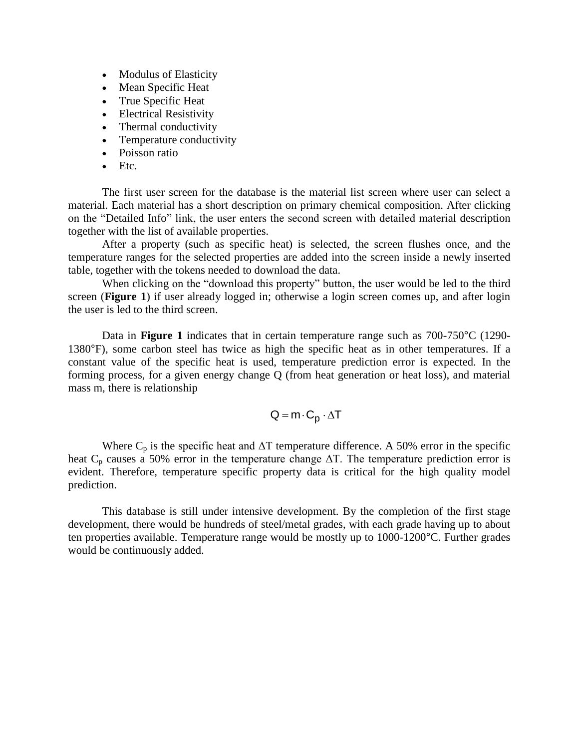- Modulus of Elasticity
- Mean Specific Heat
- True Specific Heat
- Electrical Resistivity
- Thermal conductivity
- Temperature conductivity
- Poisson ratio
- $\bullet$  Etc.

The first user screen for the database is the material list screen where user can select a material. Each material has a short description on primary chemical composition. After clicking on the "Detailed Info" link, the user enters the second screen with detailed material description together with the list of available properties.

After a property (such as specific heat) is selected, the screen flushes once, and the temperature ranges for the selected properties are added into the screen inside a newly inserted table, together with the tokens needed to download the data.

When clicking on the "download this property" button, the user would be led to the third screen (**Figure 1**) if user already logged in; otherwise a login screen comes up, and after login the user is led to the third screen.

Data in **Figure 1** indicates that in certain temperature range such as 700-750°C (1290- 1380°F), some carbon steel has twice as high the specific heat as in other temperatures. If a constant value of the specific heat is used, temperature prediction error is expected. In the forming process, for a given energy change Q (from heat generation or heat loss), and material mass m, there is relationship

$$
Q = m \cdot C_p \cdot \Delta T
$$

Where  $C_p$  is the specific heat and  $\Delta T$  temperature difference. A 50% error in the specific heat  $C_p$  causes a 50% error in the temperature change  $\Delta T$ . The temperature prediction error is evident. Therefore, temperature specific property data is critical for the high quality model prediction.

This database is still under intensive development. By the completion of the first stage development, there would be hundreds of steel/metal grades, with each grade having up to about ten properties available. Temperature range would be mostly up to 1000-1200°C. Further grades would be continuously added.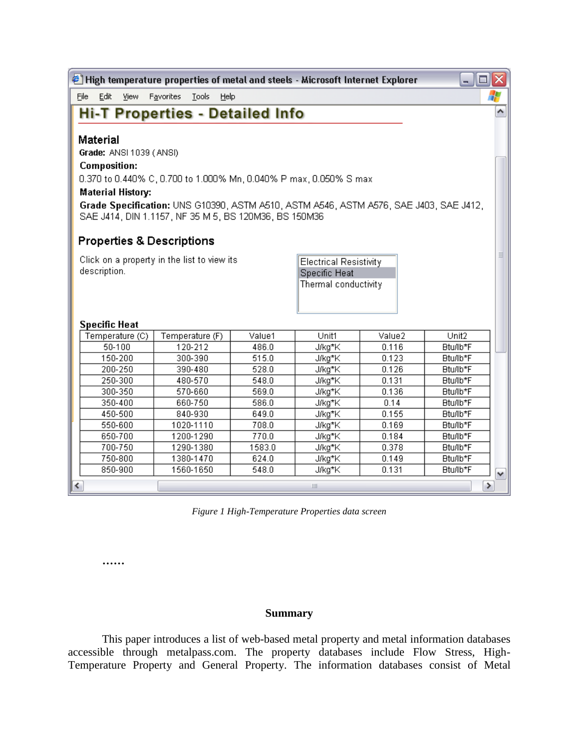| <u> - 101x</u><br>$^{\circledast}$ High temperature properties of metal and steels - Microsoft Internet Explorer |                                                                       |      |                            |                |                      |               |                      |   |
|------------------------------------------------------------------------------------------------------------------|-----------------------------------------------------------------------|------|----------------------------|----------------|----------------------|---------------|----------------------|---|
| <b>File</b>                                                                                                      | Edit                                                                  | View | Favorites<br>Tools<br>Help |                |                      |               |                      | 4 |
| ۸                                                                                                                |                                                                       |      |                            |                |                      |               |                      |   |
| <b>Hi-T Properties - Detailed Info</b>                                                                           |                                                                       |      |                            |                |                      |               |                      |   |
| <b>Material</b>                                                                                                  |                                                                       |      |                            |                |                      |               |                      |   |
| Grade: ANSI 1039 (ANSI)                                                                                          |                                                                       |      |                            |                |                      |               |                      |   |
| <b>Composition:</b>                                                                                              |                                                                       |      |                            |                |                      |               |                      |   |
|                                                                                                                  |                                                                       |      |                            |                |                      |               |                      |   |
| 0.370 to 0.440% C, 0.700 to 1.000% Mn, 0.040% P max, 0.050% S max                                                |                                                                       |      |                            |                |                      |               |                      |   |
| <b>Material History:</b>                                                                                         |                                                                       |      |                            |                |                      |               |                      |   |
| Grade Specification: UNS G10390, ASTM A510, ASTM A546, ASTM A576, SAE J403, SAE J412,                            |                                                                       |      |                            |                |                      |               |                      |   |
| SAE J414, DIN 1.1157, NF 35 M 5, BS 120M36, BS 150M36                                                            |                                                                       |      |                            |                |                      |               |                      |   |
|                                                                                                                  |                                                                       |      |                            |                |                      |               |                      |   |
|                                                                                                                  | <b>Properties &amp; Descriptions</b>                                  |      |                            |                |                      |               |                      |   |
|                                                                                                                  | Click on a property in the list to view its<br>Electrical Resistivity |      |                            |                |                      |               |                      | ≣ |
| description.<br>Specific Heat                                                                                    |                                                                       |      |                            |                |                      |               |                      |   |
|                                                                                                                  |                                                                       |      |                            |                | Thermal conductivity |               |                      |   |
|                                                                                                                  |                                                                       |      |                            |                |                      |               |                      |   |
|                                                                                                                  |                                                                       |      |                            |                |                      |               |                      |   |
|                                                                                                                  | <b>Specific Heat</b>                                                  |      |                            |                |                      |               |                      |   |
|                                                                                                                  | Temperature (C)                                                       |      | Temperature (F)            | Value1         | Unit1                | Value2        | Unit2                |   |
|                                                                                                                  | 50-100                                                                |      | 120-212                    | 486.0          | J/kg*K               | 0.116         | Btu/lb*F             |   |
|                                                                                                                  | 150-200                                                               |      | 300-390                    | 515.0          | J/kg*K               | 0.123         | Btu/lb*F             |   |
|                                                                                                                  | 200-250                                                               |      | 390-480                    | 528.0          | J/kg*K               | 0.126         | Btu/lb*F             |   |
|                                                                                                                  | 250-300                                                               |      | 480-570                    | 548.0          | J/kg*K               | 0.131         | Btu/lb*F             |   |
|                                                                                                                  | 300-350<br>350-400                                                    |      | 570-660<br>660-750         | 569.0<br>586.0 | J/kg*K<br>J/kg*K     | 0.136<br>0.14 | Btu/lb*F<br>Btu/lb*F |   |
|                                                                                                                  | 450-500                                                               |      | 840-930                    | 649.0          | J/kg*K               | 0.155         | Btu/lb*F             |   |
|                                                                                                                  | 550-600                                                               |      | 1020-1110                  | 708.0          | J/kg*K               | 0.169         | Btu/lb*F             |   |
|                                                                                                                  | 650-700                                                               |      | 1200-1290                  | 770.0          | J/kg*K               | 0.184         | Btu/lb*F             |   |
|                                                                                                                  | 700-750                                                               |      | 1290-1380                  | 1583.0         | J/kg*K               | 0.378         | Btu/lb*F             |   |
|                                                                                                                  | 750-800                                                               |      | 1380-1470                  | 624.0          | J/kg*K               | 0.149         | Btu/lb*F             |   |
|                                                                                                                  | 850-900                                                               |      | 1560-1650                  | 548.0          | J/kg*K               | 0.131         | Btu/lb*F             | ٧ |
| ∢                                                                                                                |                                                                       |      |                            |                | $\  \cdot \ $        |               |                      | ≯ |

*Figure 1 High-Temperature Properties data screen*

**……**

## **Summary**

This paper introduces a list of web-based metal property and metal information databases accessible through metalpass.com. The property databases include Flow Stress, High-Temperature Property and General Property. The information databases consist of Metal